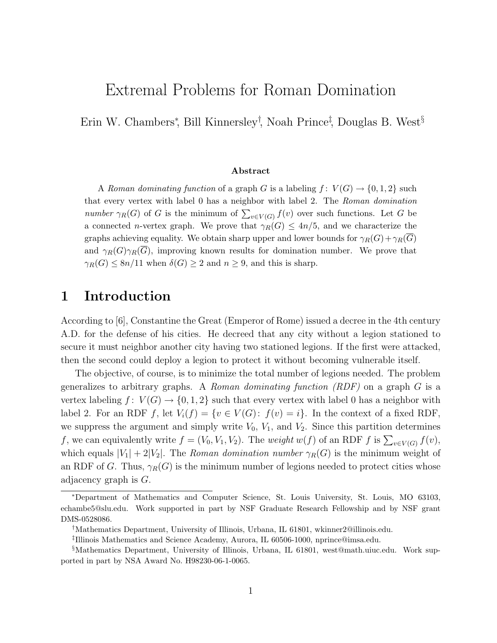# Extremal Problems for Roman Domination

Erin W. Chambers<sup>∗</sup> , Bill Kinnersley† , Noah Prince‡ , Douglas B. West§

#### Abstract

A Roman dominating function of a graph G is a labeling  $f: V(G) \to \{0, 1, 2\}$  such that every vertex with label 0 has a neighbor with label 2. The Roman domination number  $\gamma_R(G)$  of G is the minimum of  $\sum_{v \in V(G)} f(v)$  over such functions. Let G be a connected *n*-vertex graph. We prove that  $\gamma_R(G) \leq 4n/5$ , and we characterize the graphs achieving equality. We obtain sharp upper and lower bounds for  $\gamma_R(G)+\gamma_R(\overline{G})$ and  $\gamma_R(G)\gamma_R(G)$ , improving known results for domination number. We prove that  $\gamma_R(G) \leq 8n/11$  when  $\delta(G) \geq 2$  and  $n \geq 9$ , and this is sharp.

#### 1 Introduction

According to [6], Constantine the Great (Emperor of Rome) issued a decree in the 4th century A.D. for the defense of his cities. He decreed that any city without a legion stationed to secure it must neighbor another city having two stationed legions. If the first were attacked, then the second could deploy a legion to protect it without becoming vulnerable itself.

The objective, of course, is to minimize the total number of legions needed. The problem generalizes to arbitrary graphs. A Roman dominating function  $(RDF)$  on a graph G is a vertex labeling  $f: V(G) \to \{0, 1, 2\}$  such that every vertex with label 0 has a neighbor with label 2. For an RDF f, let  $V_i(f) = \{v \in V(G): f(v) = i\}$ . In the context of a fixed RDF, we suppress the argument and simply write  $V_0$ ,  $V_1$ , and  $V_2$ . Since this partition determines f, we can equivalently write  $f = (V_0, V_1, V_2)$ . The *weight*  $w(f)$  of an RDF f is  $\sum_{v \in V(G)} f(v)$ , which equals  $|V_1| + 2|V_2|$ . The Roman domination number  $\gamma_R(G)$  is the minimum weight of an RDF of G. Thus,  $\gamma_R(G)$  is the minimum number of legions needed to protect cities whose adjacency graph is G.

<sup>∗</sup>Department of Mathematics and Computer Science, St. Louis University, St. Louis, MO 63103, echambe5@slu.edu. Work supported in part by NSF Graduate Research Fellowship and by NSF grant DMS-0528086.

<sup>†</sup>Mathematics Department, University of Illinois, Urbana, IL 61801, wkinner2@illinois.edu.

<sup>‡</sup> Illinois Mathematics and Science Academy, Aurora, IL 60506-1000, nprince@imsa.edu.

<sup>§</sup>Mathematics Department, University of Illinois, Urbana, IL 61801, west@math.uiuc.edu. Work supported in part by NSA Award No. H98230-06-1-0065.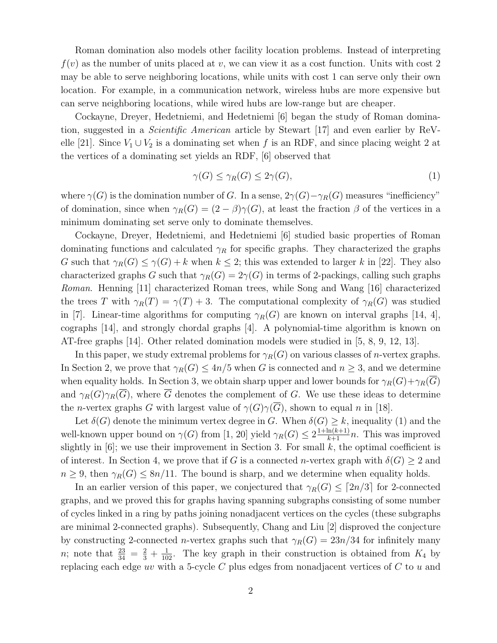Roman domination also models other facility location problems. Instead of interpreting  $f(v)$  as the number of units placed at v, we can view it as a cost function. Units with cost 2 may be able to serve neighboring locations, while units with cost 1 can serve only their own location. For example, in a communication network, wireless hubs are more expensive but can serve neighboring locations, while wired hubs are low-range but are cheaper.

Cockayne, Dreyer, Hedetniemi, and Hedetniemi [6] began the study of Roman domination, suggested in a Scientific American article by Stewart [17] and even earlier by ReVelle [21]. Since  $V_1 \cup V_2$  is a dominating set when f is an RDF, and since placing weight 2 at the vertices of a dominating set yields an RDF, [6] observed that

$$
\gamma(G) \le \gamma_R(G) \le 2\gamma(G),\tag{1}
$$

where  $\gamma(G)$  is the domination number of G. In a sense,  $2\gamma(G)-\gamma_R(G)$  measures "inefficiency" of domination, since when  $\gamma_R(G) = (2 - \beta)\gamma(G)$ , at least the fraction  $\beta$  of the vertices in a minimum dominating set serve only to dominate themselves.

Cockayne, Dreyer, Hedetniemi, and Hedetniemi [6] studied basic properties of Roman dominating functions and calculated  $\gamma_R$  for specific graphs. They characterized the graphs G such that  $\gamma_R(G) \leq \gamma(G) + k$  when  $k \leq 2$ ; this was extended to larger k in [22]. They also characterized graphs G such that  $\gamma_R(G) = 2\gamma(G)$  in terms of 2-packings, calling such graphs Roman. Henning [11] characterized Roman trees, while Song and Wang [16] characterized the trees T with  $\gamma_R(T) = \gamma(T) + 3$ . The computational complexity of  $\gamma_R(G)$  was studied in [7]. Linear-time algorithms for computing  $\gamma_R(G)$  are known on interval graphs [14, 4], cographs [14], and strongly chordal graphs [4]. A polynomial-time algorithm is known on AT-free graphs [14]. Other related domination models were studied in [5, 8, 9, 12, 13].

In this paper, we study extremal problems for  $\gamma_R(G)$  on various classes of *n*-vertex graphs. In Section 2, we prove that  $\gamma_R(G) \leq 4n/5$  when G is connected and  $n \geq 3$ , and we determine when equality holds. In Section 3, we obtain sharp upper and lower bounds for  $\gamma_R(G)+\gamma_R(\overline{G})$ and  $\gamma_R(G)\gamma_R(\overline{G})$ , where  $\overline{G}$  denotes the complement of G. We use these ideas to determine the *n*-vertex graphs G with largest value of  $\gamma(G)\gamma(\overline{G})$ , shown to equal n in [18].

Let  $\delta(G)$  denote the minimum vertex degree in G. When  $\delta(G) \geq k$ , inequality (1) and the well-known upper bound on  $\gamma(G)$  from [1, 20] yield  $\gamma_R(G) \leq 2^{\frac{1+\ln(k+1)}{k+1}n}$ . This was improved slightly in  $[6]$ ; we use their improvement in Section 3. For small k, the optimal coefficient is of interest. In Section 4, we prove that if G is a connected n-vertex graph with  $\delta(G) \geq 2$  and  $n \geq 9$ , then  $\gamma_R(G) \leq 8n/11$ . The bound is sharp, and we determine when equality holds.

In an earlier version of this paper, we conjectured that  $\gamma_R(G) \leq \lceil 2n/3 \rceil$  for 2-connected graphs, and we proved this for graphs having spanning subgraphs consisting of some number of cycles linked in a ring by paths joining nonadjacent vertices on the cycles (these subgraphs are minimal 2-connected graphs). Subsequently, Chang and Liu [2] disproved the conjecture by constructing 2-connected *n*-vertex graphs such that  $\gamma_R(G) = 23n/34$  for infinitely many *n*; note that  $\frac{23}{34} = \frac{2}{3} + \frac{1}{102}$ . The key graph in their construction is obtained from  $K_4$  by replacing each edge uv with a 5-cycle C plus edges from nonadjacent vertices of C to u and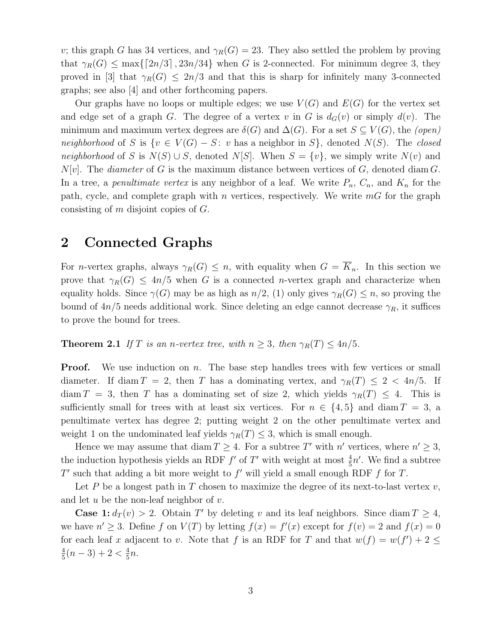v; this graph G has 34 vertices, and  $\gamma_R(G) = 23$ . They also settled the problem by proving that  $\gamma_R(G) \le \max\{[2n/3], 23n/34\}$  when G is 2-connected. For minimum degree 3, they proved in [3] that  $\gamma_R(G) \leq 2n/3$  and that this is sharp for infinitely many 3-connected graphs; see also [4] and other forthcoming papers.

Our graphs have no loops or multiple edges; we use  $V(G)$  and  $E(G)$  for the vertex set and edge set of a graph G. The degree of a vertex v in G is  $d_G(v)$  or simply  $d(v)$ . The minimum and maximum vertex degrees are  $\delta(G)$  and  $\Delta(G)$ . For a set  $S \subseteq V(G)$ , the (open) neighborhood of S is  $\{v \in V(G) - S: v \text{ has a neighbor in } S\}$ , denoted  $N(S)$ . The closed neighborhood of S is  $N(S) \cup S$ , denoted N[S]. When  $S = \{v\}$ , we simply write  $N(v)$  and  $N[v]$ . The *diameter* of G is the maximum distance between vertices of G, denoted diam G. In a tree, a *penultimate vertex* is any neighbor of a leaf. We write  $P_n$ ,  $C_n$ , and  $K_n$  for the path, cycle, and complete graph with n vertices, respectively. We write  $mG$  for the graph consisting of m disjoint copies of G.

#### 2 Connected Graphs

For *n*-vertex graphs, always  $\gamma_R(G) \leq n$ , with equality when  $G = \overline{K}_n$ . In this section we prove that  $\gamma_R(G) \leq 4n/5$  when G is a connected *n*-vertex graph and characterize when equality holds. Since  $\gamma(G)$  may be as high as  $n/2$ , (1) only gives  $\gamma_R(G) \leq n$ , so proving the bound of  $4n/5$  needs additional work. Since deleting an edge cannot decrease  $\gamma_R$ , it suffices to prove the bound for trees.

**Theorem 2.1** If T is an n-vertex tree, with  $n \geq 3$ , then  $\gamma_R(T) \leq 4n/5$ .

**Proof.** We use induction on n. The base step handles trees with few vertices or small diameter. If diam  $T = 2$ , then T has a dominating vertex, and  $\gamma_R(T) \leq 2 < 4n/5$ . If  $\dim T = 3$ , then T has a dominating set of size 2, which yields  $\gamma_R(T) \leq 4$ . This is sufficiently small for trees with at least six vertices. For  $n \in \{4, 5\}$  and diam  $T = 3$ , a penultimate vertex has degree 2; putting weight 2 on the other penultimate vertex and weight 1 on the undominated leaf yields  $\gamma_R(T) \leq 3$ , which is small enough.

Hence we may assume that diam  $T \geq 4$ . For a subtree T' with n' vertices, where  $n' \geq 3$ , the induction hypothesis yields an RDF  $f'$  of  $T'$  with weight at most  $\frac{4}{5}n'$ . We find a subtree  $T'$  such that adding a bit more weight to  $f'$  will yield a small enough RDF  $f$  for  $T$ .

Let P be a longest path in T chosen to maximize the degree of its next-to-last vertex  $v$ , and let  $u$  be the non-leaf neighbor of  $v$ .

**Case 1:**  $d_T(v) > 2$ . Obtain T' by deleting v and its leaf neighbors. Since diam  $T \geq 4$ , we have  $n' \geq 3$ . Define f on  $V(T)$  by letting  $f(x) = f'(x)$  except for  $f(v) = 2$  and  $f(x) = 0$ for each leaf x adjacent to v. Note that f is an RDF for T and that  $w(f) = w(f') + 2 \leq$ 4  $\frac{4}{5}(n-3)+2<\frac{4}{5}$  $\frac{4}{5}n$ .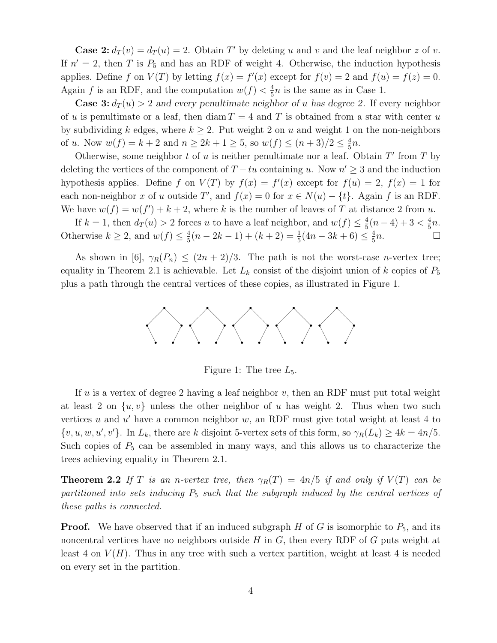**Case 2:**  $d_T(v) = d_T(u) = 2$ . Obtain T' by deleting u and v and the leaf neighbor z of v. If  $n' = 2$ , then T is  $P_5$  and has an RDF of weight 4. Otherwise, the induction hypothesis applies. Define f on  $V(T)$  by letting  $f(x) = f'(x)$  except for  $f(v) = 2$  and  $f(u) = f(z) = 0$ . Again f is an RDF, and the computation  $w(f) < \frac{4}{5}$  $\frac{4}{5}n$  is the same as in Case 1.

**Case 3:**  $d_T(u) > 2$  and every penultimate neighbor of u has degree 2. If every neighbor of u is penultimate or a leaf, then diam  $T = 4$  and T is obtained from a star with center u by subdividing k edges, where  $k \geq 2$ . Put weight 2 on u and weight 1 on the non-neighbors of u. Now  $w(f) = k + 2$  and  $n \ge 2k + 1 \ge 5$ , so  $w(f) \le (n + 3)/2 \le \frac{4}{5}$  $rac{4}{5}n$ .

Otherwise, some neighbor  $t$  of  $u$  is neither penultimate nor a leaf. Obtain  $T'$  from  $T$  by deleting the vertices of the component of  $T - tu$  containing u. Now  $n' \geq 3$  and the induction hypothesis applies. Define f on  $V(T)$  by  $f(x) = f'(x)$  except for  $f(u) = 2$ ,  $f(x) = 1$  for each non-neighbor x of u outside T', and  $f(x) = 0$  for  $x \in N(u) - \{t\}$ . Again f is an RDF. We have  $w(f) = w(f') + k + 2$ , where k is the number of leaves of T at distance 2 from u.

If  $k = 1$ , then  $d_T(u) > 2$  forces u to have a leaf neighbor, and  $w(f) \leq \frac{4}{5}$  $\frac{4}{5}(n-4)+3 < \frac{4}{5}$  $\frac{4}{5}n$ . Otherwise  $k \geq 2$ , and  $w(f) \leq \frac{4}{5}$  $\frac{4}{5}(n-2k-1)+(k+2)=\frac{1}{5}(4n-3k+6)\leq \frac{4}{5}$  $\frac{4}{5}n$ .

As shown in [6],  $\gamma_R(P_n) \leq (2n+2)/3$ . The path is not the worst-case *n*-vertex tree; equality in Theorem 2.1 is achievable. Let  $L_k$  consist of the disjoint union of k copies of  $P_5$ plus a path through the central vertices of these copies, as illustrated in Figure 1.



Figure 1: The tree  $L_5$ .

If u is a vertex of degree 2 having a leaf neighbor v, then an RDF must put total weight at least 2 on  $\{u, v\}$  unless the other neighbor of u has weight 2. Thus when two such vertices  $u$  and  $u'$  have a common neighbor  $w$ , an RDF must give total weight at least 4 to  $\{v, u, w, u', v'\}$ . In  $L_k$ , there are k disjoint 5-vertex sets of this form, so  $\gamma_R(L_k) \geq 4k = 4n/5$ . Such copies of  $P_5$  can be assembled in many ways, and this allows us to characterize the trees achieving equality in Theorem 2.1.

**Theorem 2.2** If T is an n-vertex tree, then  $\gamma_R(T) = 4n/5$  if and only if  $V(T)$  can be partitioned into sets inducing  $P_5$  such that the subgraph induced by the central vertices of these paths is connected.

**Proof.** We have observed that if an induced subgraph  $H$  of  $G$  is isomorphic to  $P_5$ , and its noncentral vertices have no neighbors outside  $H$  in  $G$ , then every RDF of  $G$  puts weight at least 4 on  $V(H)$ . Thus in any tree with such a vertex partition, weight at least 4 is needed on every set in the partition.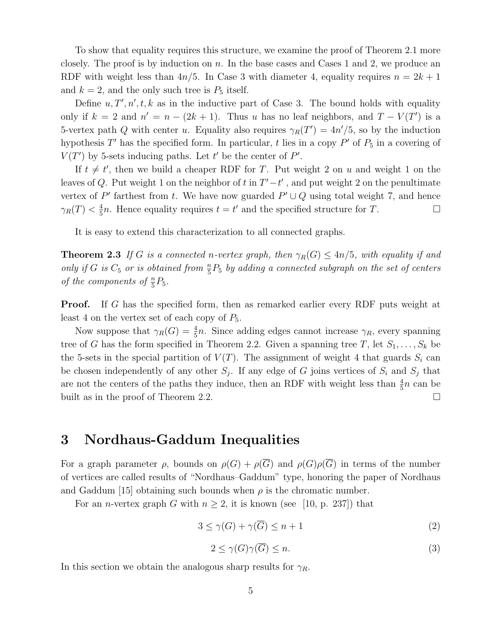To show that equality requires this structure, we examine the proof of Theorem 2.1 more closely. The proof is by induction on  $n$ . In the base cases and Cases 1 and 2, we produce an RDF with weight less than  $4n/5$ . In Case 3 with diameter 4, equality requires  $n = 2k + 1$ and  $k = 2$ , and the only such tree is  $P_5$  itself.

Define  $u, T', n', t, k$  as in the inductive part of Case 3. The bound holds with equality only if  $k = 2$  and  $n' = n - (2k + 1)$ . Thus u has no leaf neighbors, and  $T - V(T')$  is a 5-vertex path Q with center u. Equality also requires  $\gamma_R(T') = 4n'/5$ , so by the induction hypothesis T' has the specified form. In particular, t lies in a copy  $P'$  of  $P_5$  in a covering of  $V(T')$  by 5-sets inducing paths. Let t' be the center of P'.

If  $t \neq t'$ , then we build a cheaper RDF for T. Put weight 2 on u and weight 1 on the leaves of Q. Put weight 1 on the neighbor of t in  $T'-t'$ , and put weight 2 on the penultimate vertex of P' farthest from t. We have now guarded  $P' \cup Q$  using total weight 7, and hence  $\gamma_R(T)<\frac{4}{5}$  $\frac{4}{5}n$ . Hence equality requires  $t = t'$  and the specified structure for T.

It is easy to extend this characterization to all connected graphs.

**Theorem 2.3** If G is a connected n-vertex graph, then  $\gamma_R(G) \leq 4n/5$ , with equality if and only if G is  $C_5$  or is obtained from  $\frac{n}{5}P_5$  by adding a connected subgraph on the set of centers of the components of  $\frac{n}{5}P_5$ .

Proof. If G has the specified form, then as remarked earlier every RDF puts weight at least 4 on the vertex set of each copy of  $P_5$ .

Now suppose that  $\gamma_R(G) = \frac{4}{5}n$ . Since adding edges cannot increase  $\gamma_R$ , every spanning tree of G has the form specified in Theorem 2.2. Given a spanning tree T, let  $S_1, \ldots, S_k$  be the 5-sets in the special partition of  $V(T)$ . The assignment of weight 4 that guards  $S_i$  can be chosen independently of any other  $S_j$ . If any edge of G joins vertices of  $S_i$  and  $S_j$  that are not the centers of the paths they induce, then an RDF with weight less than  $\frac{4}{5}n$  can be built as in the proof of Theorem 2.2.

### 3 Nordhaus-Gaddum Inequalities

For a graph parameter  $\rho$ , bounds on  $\rho(G) + \rho(\overline{G})$  and  $\rho(G)\rho(\overline{G})$  in terms of the number of vertices are called results of "Nordhaus–Gaddum" type, honoring the paper of Nordhaus and Gaddum [15] obtaining such bounds when  $\rho$  is the chromatic number.

For an *n*-vertex graph G with  $n \geq 2$ , it is known (see [10, p. 237]) that

$$
3 \le \gamma(G) + \gamma(\overline{G}) \le n + 1 \tag{2}
$$

$$
2 \le \gamma(G)\gamma(\overline{G}) \le n. \tag{3}
$$

In this section we obtain the analogous sharp results for  $\gamma_R$ .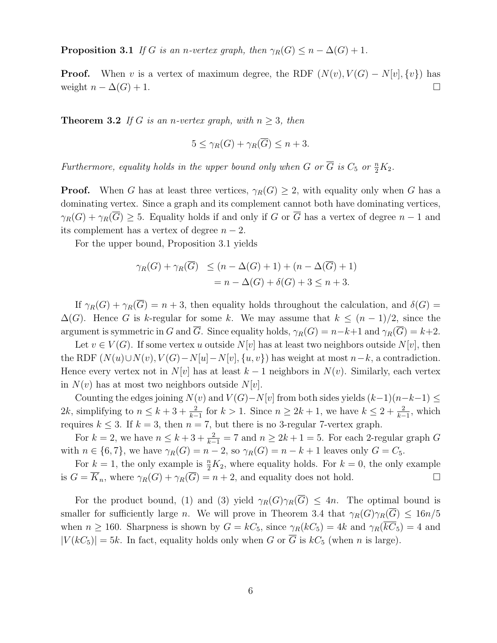**Proposition 3.1** If G is an n-vertex graph, then  $\gamma_R(G) \leq n - \Delta(G) + 1$ .

**Proof.** When v is a vertex of maximum degree, the RDF  $(N(v), V(G) - N[v], \{v\})$  has weight  $n - \Delta(G) + 1$ .

**Theorem 3.2** If G is an n-vertex graph, with  $n > 3$ , then

$$
5 \le \gamma_R(G) + \gamma_R(\overline{G}) \le n + 3.
$$

Furthermore, equality holds in the upper bound only when G or  $\overline{G}$  is  $C_5$  or  $\frac{n}{2}K_2$ .

**Proof.** When G has at least three vertices,  $\gamma_R(G) \geq 2$ , with equality only when G has a dominating vertex. Since a graph and its complement cannot both have dominating vertices,  $\gamma_R(G) + \gamma_R(\overline{G}) \geq 5$ . Equality holds if and only if G or  $\overline{G}$  has a vertex of degree  $n-1$  and its complement has a vertex of degree  $n-2$ .

For the upper bound, Proposition 3.1 yields

$$
\gamma_R(G) + \gamma_R(\overline{G}) \le (n - \Delta(G) + 1) + (n - \Delta(\overline{G}) + 1)
$$
  
=  $n - \Delta(G) + \delta(G) + 3 \le n + 3$ .

If  $\gamma_B(G) + \gamma_B(\overline{G}) = n + 3$ , then equality holds throughout the calculation, and  $\delta(G)$  $\Delta(G)$ . Hence G is k-regular for some k. We may assume that  $k \leq (n-1)/2$ , since the argument is symmetric in G and  $\overline{G}$ . Since equality holds,  $\gamma_R(G) = n-k+1$  and  $\gamma_R(\overline{G}) = k+2$ .

Let  $v \in V(G)$ . If some vertex u outside  $N[v]$  has at least two neighbors outside  $N[v]$ , then the RDF  $(N(u) \cup N(v), V(G) - N[u] - N[v], \{u, v\})$  has weight at most  $n-k$ , a contradiction. Hence every vertex not in  $N[v]$  has at least  $k-1$  neighbors in  $N(v)$ . Similarly, each vertex in  $N(v)$  has at most two neighbors outside  $N[v]$ .

Counting the edges joining  $N(v)$  and  $V(G) - N[v]$  from both sides yields  $(k-1)(n-k-1) \le$ 2k, simplifying to  $n \leq k+3+\frac{2}{k-1}$  for  $k > 1$ . Since  $n \geq 2k+1$ , we have  $k \leq 2+\frac{2}{k-1}$ , which requires  $k \leq 3$ . If  $k = 3$ , then  $n = 7$ , but there is no 3-regular 7-vertex graph.

For  $k = 2$ , we have  $n \leq k + 3 + \frac{2}{k-1} = 7$  and  $n \geq 2k + 1 = 5$ . For each 2-regular graph G with  $n \in \{6, 7\}$ , we have  $\gamma_R(G) = n - 2$ , so  $\gamma_R(G) = n - k + 1$  leaves only  $G = C_5$ .

For  $k = 1$ , the only example is  $\frac{n}{2}K_2$ , where equality holds. For  $k = 0$ , the only example is  $G = \overline{K}_n$ , where  $\gamma_R(G) + \gamma_R(\overline{G}) = n + 2$ , and equality does not hold.

For the product bound, (1) and (3) yield  $\gamma_R(G)\gamma_R(\overline{G}) \leq 4n$ . The optimal bound is smaller for sufficiently large n. We will prove in Theorem 3.4 that  $\gamma_R(G)\gamma_R(\overline{G}) \leq 16n/5$ when  $n \ge 160$ . Sharpness is shown by  $G = kC_5$ , since  $\gamma_R(kC_5) = 4k$  and  $\gamma_R(\overline{kC_5}) = 4$  and  $|V(kC_5)| = 5k$ . In fact, equality holds only when G or  $\overline{G}$  is  $kC_5$  (when n is large).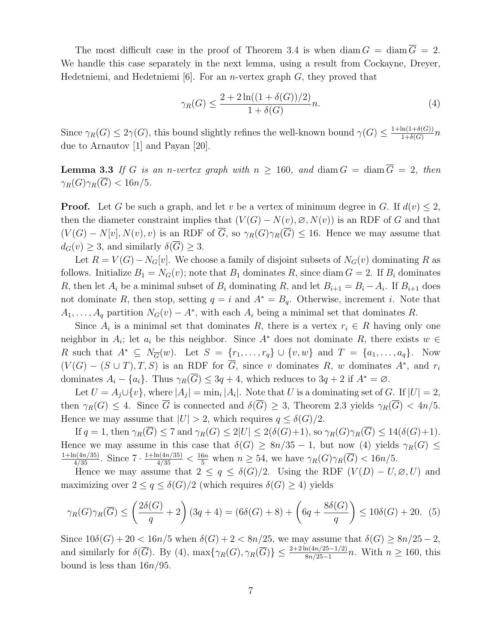The most difficult case in the proof of Theorem 3.4 is when diam  $G = \text{diam } G = 2$ . We handle this case separately in the next lemma, using a result from Cockayne, Dreyer, Hedetniemi, and Hedetniemi  $[6]$ . For an *n*-vertex graph  $G$ , they proved that

$$
\gamma_R(G) \le \frac{2 + 2\ln((1 + \delta(G))/2)}{1 + \delta(G)}n.
$$
\n(4)

Since  $\gamma_R(G) \leq 2\gamma(G)$ , this bound slightly refines the well-known bound  $\gamma(G) \leq \frac{1+\ln(1+\delta(G))}{1+\delta(G)}$  $\frac{\ln(1+o(G))}{1+\delta(G)}n$ due to Arnautov [1] and Payan [20].

**Lemma 3.3** If G is an n-vertex graph with  $n \ge 160$ , and diam  $G = \text{diam } \overline{G} = 2$ , then  $\gamma_R(G)\gamma_R(\overline{G}) < 16n/5.$ 

**Proof.** Let G be such a graph, and let v be a vertex of minimum degree in G. If  $d(v) \leq 2$ , then the diameter constraint implies that  $(V(G) - N(v), \emptyset, N(v))$  is an RDF of G and that  $(V(G) - N[v], N(v), v)$  is an RDF of  $\overline{G}$ , so  $\gamma_R(G)\gamma_R(\overline{G}) \leq 16$ . Hence we may assume that  $d_G(v) \geq 3$ , and similarly  $\delta(\overline{G}) \geq 3$ .

Let  $R = V(G) - N_G[v]$ . We choose a family of disjoint subsets of  $N_G(v)$  dominating R as follows. Initialize  $B_1 = N_G(v)$ ; note that  $B_1$  dominates R, since diam  $G = 2$ . If  $B_i$  dominates R, then let  $A_i$  be a minimal subset of  $B_i$  dominating R, and let  $B_{i+1} = B_i - A_i$ . If  $B_{i+1}$  does not dominate R, then stop, setting  $q = i$  and  $A^* = B_q$ . Otherwise, increment i. Note that  $A_1, \ldots, A_q$  partition  $N_G(v) - A^*$ , with each  $A_i$  being a minimal set that dominates R.

Since  $A_i$  is a minimal set that dominates R, there is a vertex  $r_i \in R$  having only one neighbor in  $A_i$ ; let  $a_i$  be this neighbor. Since  $A^*$  does not dominate  $R$ , there exists  $w \in$ R such that  $A^* \subseteq N_{\overline{G}}(w)$ . Let  $S = \{r_1, \ldots, r_q\} \cup \{v, w\}$  and  $T = \{a_1, \ldots, a_q\}$ . Now  $(V(G) - (S \cup T), T, S)$  is an RDF for  $\overline{G}$ , since v dominates R, w dominates  $A^*$ , and  $r_i$ dominates  $A_i - \{a_i\}$ . Thus  $\gamma_R(\overline{G}) \leq 3q + 4$ , which reduces to  $3q + 2$  if  $A^* = \emptyset$ .

Let  $U = A_j \cup \{v\}$ , where  $|A_j| = \min_i |A_i|$ . Note that U is a dominating set of G. If  $|U| = 2$ , then  $\gamma_R(G) \leq 4$ . Since  $\overline{G}$  is connected and  $\delta(\overline{G}) \geq 3$ , Theorem 2.3 yields  $\gamma_R(\overline{G}) < 4n/5$ . Hence we may assume that  $|U| > 2$ , which requires  $q \leq \delta(G)/2$ .

If  $q = 1$ , then  $\gamma_R(\overline{G}) \leq 7$  and  $\gamma_R(G) \leq 2|U| \leq 2(\delta(G)+1)$ , so  $\gamma_R(G)\gamma_R(\overline{G}) \leq 14(\delta(G)+1)$ . Hence we may assume in this case that  $\delta(G) \geq 8n/35 - 1$ , but now (4) yields  $\gamma_R(G) \leq$  $\frac{1+\ln(4n/35)}{4/35}$ . Since  $7 \cdot \frac{1+\ln(4n/35)}{4/35} < \frac{16n}{5}$  when  $n \geq 54$ , we have  $\gamma_R(G)\gamma_R(\overline{G}) < 16n/5$ .

Hence we may assume that  $2 \le q \le \delta(G)/2$ . Using the RDF  $(V(D) - U, \emptyset, U)$  and maximizing over  $2 \le q \le \delta(G)/2$  (which requires  $\delta(G) \ge 4$ ) yields

$$
\gamma_R(G)\gamma_R(\overline{G}) \le \left(\frac{2\delta(G)}{q} + 2\right)(3q + 4) = (6\delta(G) + 8) + \left(6q + \frac{8\delta(G)}{q}\right) \le 10\delta(G) + 20. \tag{5}
$$

Since  $10\delta(G) + 20 < 16n/5$  when  $\delta(G) + 2 < 8n/25$ , we may assume that  $\delta(G) \geq 8n/25 - 2$ , and similarly for  $\delta(\overline{G})$ . By (4),  $\max\{\gamma_R(G), \gamma_R(\overline{G})\} \leq \frac{2+2\ln(4n/25-1/2)}{8n/25-1}n$ . With  $n \geq 160$ , this bound is less than  $16n/95$ .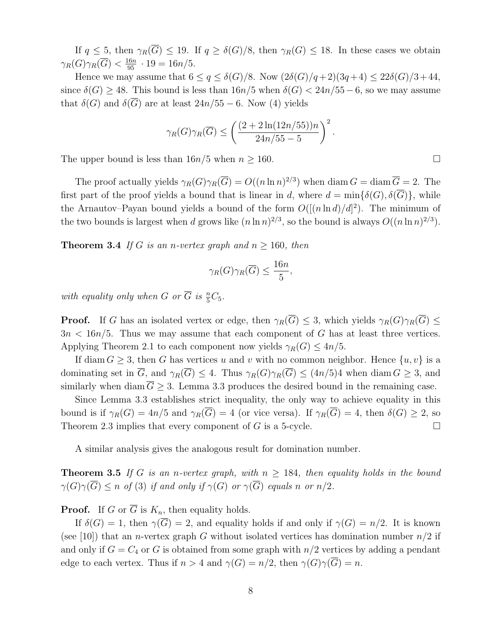If  $q \leq 5$ , then  $\gamma_R(\overline{G}) \leq 19$ . If  $q \geq \delta(G)/8$ , then  $\gamma_R(G) \leq 18$ . In these cases we obtain  $\gamma_R(G)\gamma_R(\overline{G}) < \frac{16n}{95} \cdot 19 = 16n/5.$ 

Hence we may assume that  $6 \le q \le \delta(G)/8$ . Now  $(2\delta(G)/q+2)(3q+4) \le 22\delta(G)/3+44$ , since  $\delta(G) \geq 48$ . This bound is less than  $16n/5$  when  $\delta(G) < 24n/55-6$ , so we may assume that  $\delta(G)$  and  $\delta(\overline{G})$  are at least  $24n/55 - 6$ . Now (4) yields

$$
\gamma_R(G)\gamma_R(\overline{G}) \le \left(\frac{(2+2\ln(12n/55))n}{24n/55-5}\right)^2.
$$

The upper bound is less than  $16n/5$  when  $n \ge 160$ .

The proof actually yields  $\gamma_R(G)\gamma_R(\overline{G})=O((n\ln n)^{2/3})$  when diam  $G=\text{diam }\overline{G}=2$ . The first part of the proof yields a bound that is linear in d, where  $d = \min\{\delta(G), \delta(\overline{G})\}\,$ , while the Arnautov–Payan bound yields a bound of the form  $O([n \ln d)/d]^2)$ . The minimum of the two bounds is largest when d grows like  $(n \ln n)^{2/3}$ , so the bound is always  $O((n \ln n)^{2/3})$ .

**Theorem 3.4** If G is an n-vertex graph and  $n \ge 160$ , then

$$
\gamma_R(G)\gamma_R(\overline{G})\leq \frac{16n}{5},
$$

with equality only when G or  $\overline{G}$  is  $\frac{n}{5}C_5$ .

**Proof.** If G has an isolated vertex or edge, then  $\gamma_R(\overline{G}) \leq 3$ , which yields  $\gamma_R(G)\gamma_R(\overline{G}) \leq$  $3n < 16n/5$ . Thus we may assume that each component of G has at least three vertices. Applying Theorem 2.1 to each component now yields  $\gamma_R(G) \leq 4n/5$ .

If diam  $G \geq 3$ , then G has vertices u and v with no common neighbor. Hence  $\{u, v\}$  is a dominating set in  $\overline{G}$ , and  $\gamma_R(\overline{G}) \leq 4$ . Thus  $\gamma_R(G)\gamma_R(\overline{G}) \leq (4n/5)4$  when diam  $G \geq 3$ , and similarly when diam  $\overline{G} \geq 3$ . Lemma 3.3 produces the desired bound in the remaining case.

Since Lemma 3.3 establishes strict inequality, the only way to achieve equality in this bound is if  $\gamma_R(G) = 4n/5$  and  $\gamma_R(\overline{G}) = 4$  (or vice versa). If  $\gamma_R(\overline{G}) = 4$ , then  $\delta(G) \geq 2$ , so Theorem 2.3 implies that every component of G is a 5-cycle.

A similar analysis gives the analogous result for domination number.

**Theorem 3.5** If G is an n-vertex graph, with  $n \geq 184$ , then equality holds in the bound  $\gamma(G)\gamma(\overline{G}) \leq n$  of (3) if and only if  $\gamma(G)$  or  $\gamma(\overline{G})$  equals n or  $n/2$ .

**Proof.** If G or  $\overline{G}$  is  $K_n$ , then equality holds.

If  $\delta(G) = 1$ , then  $\gamma(\overline{G}) = 2$ , and equality holds if and only if  $\gamma(G) = n/2$ . It is known (see [10]) that an *n*-vertex graph G without isolated vertices has domination number  $n/2$  if and only if  $G = C_4$  or G is obtained from some graph with  $n/2$  vertices by adding a pendant edge to each vertex. Thus if  $n > 4$  and  $\gamma(G) = n/2$ , then  $\gamma(G)\gamma(\overline{G}) = n$ .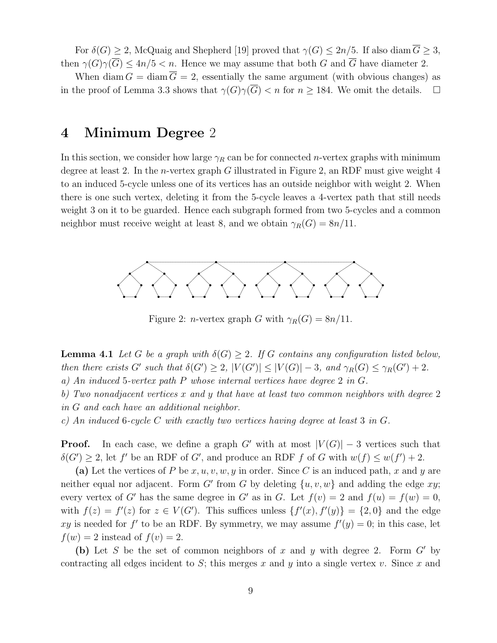For  $\delta(G) \geq 2$ , McQuaig and Shepherd [19] proved that  $\gamma(G) \leq 2n/5$ . If also diam  $\overline{G} \geq 3$ , then  $\gamma(G)\gamma(\overline{G}) \leq 4n/5 < n$ . Hence we may assume that both G and  $\overline{G}$  have diameter 2.

When diam  $G = \text{diam}\,\overline{G} = 2$ , essentially the same argument (with obvious changes) as in the proof of Lemma 3.3 shows that  $\gamma(G)\gamma(\overline{G})$  < n for  $n \geq 184$ . We omit the details.  $\Box$ 

### 4 Minimum Degree 2

In this section, we consider how large  $\gamma_R$  can be for connected *n*-vertex graphs with minimum degree at least 2. In the *n*-vertex graph  $G$  illustrated in Figure 2, an RDF must give weight 4 to an induced 5-cycle unless one of its vertices has an outside neighbor with weight 2. When there is one such vertex, deleting it from the 5-cycle leaves a 4-vertex path that still needs weight 3 on it to be guarded. Hence each subgraph formed from two 5-cycles and a common neighbor must receive weight at least 8, and we obtain  $\gamma_R(G) = 8n/11$ .



Figure 2: *n*-vertex graph G with  $\gamma_R(G) = 8n/11$ .

**Lemma 4.1** Let G be a graph with  $\delta(G) \geq 2$ . If G contains any configuration listed below, then there exists G' such that  $\delta(G') \geq 2$ ,  $|V(G')| \leq |V(G)| - 3$ , and  $\gamma_R(G) \leq \gamma_R(G') + 2$ . a) An induced 5-vertex path P whose internal vertices have degree 2 in G.

b) Two nonadjacent vertices x and y that have at least two common neighbors with degree 2 in G and each have an additional neighbor.

c) An induced 6-cycle C with exactly two vertices having degree at least 3 in G.

**Proof.** In each case, we define a graph G' with at most  $|V(G)| - 3$  vertices such that  $\delta(G') \geq 2$ , let f' be an RDF of G', and produce an RDF f of G with  $w(f) \leq w(f') + 2$ .

(a) Let the vertices of P be  $x, u, v, w, y$  in order. Since C is an induced path, x and y are neither equal nor adjacent. Form G' from G by deleting  $\{u, v, w\}$  and adding the edge xy; every vertex of G' has the same degree in G' as in G. Let  $f(v) = 2$  and  $f(u) = f(w) = 0$ , with  $f(z) = f'(z)$  for  $z \in V(G')$ . This suffices unless  $\{f'(x), f'(y)\} = \{2, 0\}$  and the edge xy is needed for f' to be an RDF. By symmetry, we may assume  $f'(y) = 0$ ; in this case, let  $f(w) = 2$  instead of  $f(v) = 2$ .

(b) Let S be the set of common neighbors of x and y with degree 2. Form  $G'$  by contracting all edges incident to S; this merges x and y into a single vertex v. Since x and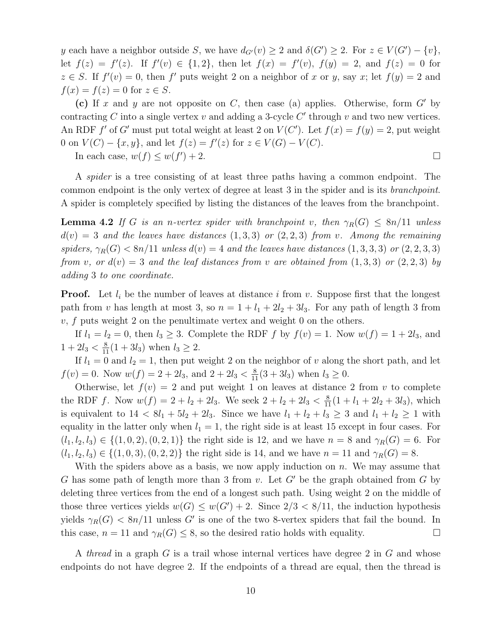y each have a neighbor outside S, we have  $d_{G'}(v) \geq 2$  and  $\delta(G') \geq 2$ . For  $z \in V(G') - \{v\},$ let  $f(z) = f'(z)$ . If  $f'(v) \in \{1,2\}$ , then let  $f(x) = f'(v)$ ,  $f(y) = 2$ , and  $f(z) = 0$  for  $z \in S$ . If  $f'(v) = 0$ , then f' puts weight 2 on a neighbor of x or y, say x; let  $f(y) = 2$  and  $f(x) = f(z) = 0$  for  $z \in S$ .

(c) If x and y are not opposite on C, then case (a) applies. Otherwise, form  $G'$  by contracting C into a single vertex  $v$  and adding a 3-cycle  $C'$  through  $v$  and two new vertices. An RDF f' of G' must put total weight at least 2 on  $V(C')$ . Let  $f(x) = f(y) = 2$ , put weight 0 on  $V(C) - \{x, y\}$ , and let  $f(z) = f'(z)$  for  $z \in V(G) - V(C)$ .

In each case,  $w(f) \leq w(f)$  $)+2.$ 

A spider is a tree consisting of at least three paths having a common endpoint. The common endpoint is the only vertex of degree at least 3 in the spider and is its branchpoint. A spider is completely specified by listing the distances of the leaves from the branchpoint.

**Lemma 4.2** If G is an n-vertex spider with branchpoint v, then  $\gamma_R(G) \leq 8n/11$  unless  $d(v) = 3$  and the leaves have distances  $(1,3,3)$  or  $(2,2,3)$  from v. Among the remaining spiders,  $\gamma_R(G) < 8n/11$  unless  $d(v) = 4$  and the leaves have distances  $(1, 3, 3, 3)$  or  $(2, 2, 3, 3)$ from v, or  $d(v) = 3$  and the leaf distances from v are obtained from  $(1,3,3)$  or  $(2,2,3)$  by adding 3 to one coordinate.

**Proof.** Let  $l_i$  be the number of leaves at distance i from v. Suppose first that the longest path from v has length at most 3, so  $n = 1 + l_1 + 2l_2 + 3l_3$ . For any path of length 3 from  $v, f$  puts weight 2 on the penultimate vertex and weight 0 on the others.

If  $l_1 = l_2 = 0$ , then  $l_3 \geq 3$ . Complete the RDF f by  $f(v) = 1$ . Now  $w(f) = 1 + 2l_3$ , and  $1 + 2l_3 < \frac{8}{11}(1 + 3l_3)$  when  $l_3 \ge 2$ .

If  $l_1 = 0$  and  $l_2 = 1$ , then put weight 2 on the neighbor of v along the short path, and let  $f(v) = 0$ . Now  $w(f) = 2 + 2l_3$ , and  $2 + 2l_3 < \frac{8}{11}(3 + 3l_3)$  when  $l_3 \ge 0$ .

Otherwise, let  $f(v) = 2$  and put weight 1 on leaves at distance 2 from v to complete the RDF f. Now  $w(f) = 2 + l_2 + 2l_3$ . We seek  $2 + l_2 + 2l_3 < \frac{8}{11}(1 + l_1 + 2l_2 + 3l_3)$ , which is equivalent to  $14 < 8l_1 + 5l_2 + 2l_3$ . Since we have  $l_1 + l_2 + l_3 \geq 3$  and  $l_1 + l_2 \geq 1$  with equality in the latter only when  $l_1 = 1$ , the right side is at least 15 except in four cases. For  $(l_1, l_2, l_3) \in \{(1, 0, 2), (0, 2, 1)\}\$ the right side is 12, and we have  $n = 8$  and  $\gamma_R(G) = 6$ . For  $(l_1, l_2, l_3) \in \{(1, 0, 3), (0, 2, 2)\}\$ the right side is 14, and we have  $n = 11$  and  $\gamma_R(G) = 8$ .

With the spiders above as a basis, we now apply induction on  $n$ . We may assume that G has some path of length more than 3 from  $v$ . Let  $G'$  be the graph obtained from G by deleting three vertices from the end of a longest such path. Using weight 2 on the middle of those three vertices yields  $w(G) \le w(G') + 2$ . Since  $2/3 < 8/11$ , the induction hypothesis yields  $\gamma_R(G) < 8n/11$  unless G' is one of the two 8-vertex spiders that fail the bound. In this case,  $n = 11$  and  $\gamma_R(G) \leq 8$ , so the desired ratio holds with equality.

A thread in a graph G is a trail whose internal vertices have degree 2 in G and whose endpoints do not have degree 2. If the endpoints of a thread are equal, then the thread is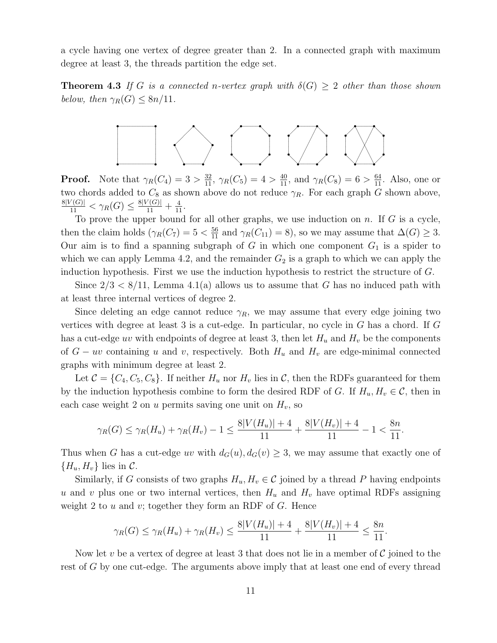a cycle having one vertex of degree greater than 2. In a connected graph with maximum degree at least 3, the threads partition the edge set.

**Theorem 4.3** If G is a connected n-vertex graph with  $\delta(G) \geq 2$  other than those shown below, then  $\gamma_R(G) \leq 8n/11$ .



**Proof.** Note that  $\gamma_R(C_4) = 3 > \frac{32}{11}$ ,  $\gamma_R(C_5) = 4 > \frac{40}{11}$ , and  $\gamma_R(C_8) = 6 > \frac{64}{11}$ . Also, one or two chords added to  $C_8$  as shown above do not reduce  $\gamma_R$ . For each graph G shown above,  $\frac{8|V(G)|}{11} < \gamma_R(G) \leq \frac{8|V(G)|}{11} + \frac{4}{11}.$ 

To prove the upper bound for all other graphs, we use induction on  $n$ . If  $G$  is a cycle, then the claim holds ( $\gamma_R(C_7) = 5 < \frac{56}{11}$  and  $\gamma_R(C_{11}) = 8$ ), so we may assume that  $\Delta(G) \geq 3$ . Our aim is to find a spanning subgraph of  $G$  in which one component  $G_1$  is a spider to which we can apply Lemma 4.2, and the remainder  $G_2$  is a graph to which we can apply the induction hypothesis. First we use the induction hypothesis to restrict the structure of G.

Since  $2/3 < 8/11$ , Lemma 4.1(a) allows us to assume that G has no induced path with at least three internal vertices of degree 2.

Since deleting an edge cannot reduce  $\gamma_R$ , we may assume that every edge joining two vertices with degree at least 3 is a cut-edge. In particular, no cycle in  $G$  has a chord. If  $G$ has a cut-edge uv with endpoints of degree at least 3, then let  $H_u$  and  $H_v$  be the components of  $G - uv$  containing u and v, respectively. Both  $H_u$  and  $H_v$  are edge-minimal connected graphs with minimum degree at least 2.

Let  $C = \{C_4, C_5, C_8\}$ . If neither  $H_u$  nor  $H_v$  lies in C, then the RDFs guaranteed for them by the induction hypothesis combine to form the desired RDF of G. If  $H_u, H_v \in \mathcal{C}$ , then in each case weight 2 on u permits saving one unit on  $H_v$ , so

$$
\gamma_R(G) \le \gamma_R(H_u) + \gamma_R(H_v) - 1 \le \frac{8|V(H_u)| + 4}{11} + \frac{8|V(H_v)| + 4}{11} - 1 < \frac{8n}{11}.
$$

Thus when G has a cut-edge uv with  $d_G(u)$ ,  $d_G(v) \geq 3$ , we may assume that exactly one of  ${H_u, H_v}$  lies in C.

Similarly, if G consists of two graphs  $H_u, H_v \in \mathcal{C}$  joined by a thread P having endpoints u and v plus one or two internal vertices, then  $H_u$  and  $H_v$  have optimal RDFs assigning weight 2 to  $u$  and  $v$ ; together they form an RDF of  $G$ . Hence

$$
\gamma_R(G) \le \gamma_R(H_u) + \gamma_R(H_v) \le \frac{8|V(H_u)| + 4}{11} + \frac{8|V(H_v)| + 4}{11} \le \frac{8n}{11}.
$$

Now let v be a vertex of degree at least 3 that does not lie in a member of  $\mathcal C$  joined to the rest of G by one cut-edge. The arguments above imply that at least one end of every thread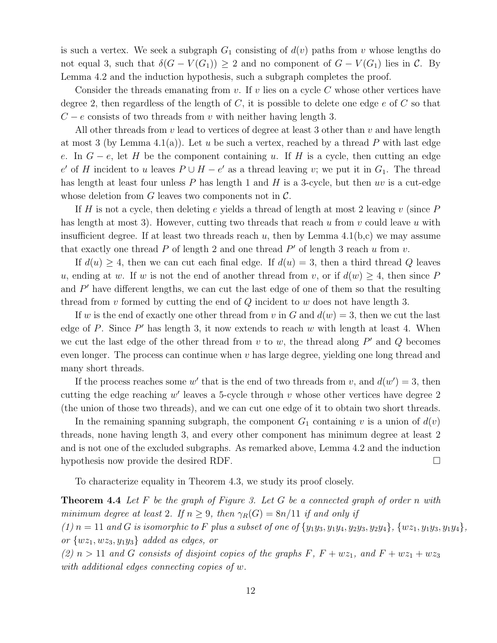is such a vertex. We seek a subgraph  $G_1$  consisting of  $d(v)$  paths from v whose lengths do not equal 3, such that  $\delta(G - V(G_1)) \geq 2$  and no component of  $G - V(G_1)$  lies in C. By Lemma 4.2 and the induction hypothesis, such a subgraph completes the proof.

Consider the threads emanating from v. If v lies on a cycle C whose other vertices have degree 2, then regardless of the length of  $C$ , it is possible to delete one edge  $e$  of  $C$  so that  $C - e$  consists of two threads from v with neither having length 3.

All other threads from  $v$  lead to vertices of degree at least 3 other than  $v$  and have length at most 3 (by Lemma 4.1(a)). Let u be such a vertex, reached by a thread P with last edge e. In  $G - e$ , let H be the component containing u. If H is a cycle, then cutting an edge e' of H incident to u leaves  $P \cup H - e'$  as a thread leaving v; we put it in  $G_1$ . The thread has length at least four unless  $P$  has length 1 and  $H$  is a 3-cycle, but then uv is a cut-edge whose deletion from G leaves two components not in  $\mathcal{C}$ .

If H is not a cycle, then deleting e yields a thread of length at most 2 leaving  $v$  (since P has length at most 3). However, cutting two threads that reach  $u$  from  $v$  could leave  $u$  with insufficient degree. If at least two threads reach u, then by Lemma  $4.1(b,c)$  we may assume that exactly one thread  $P$  of length 2 and one thread  $P'$  of length 3 reach  $u$  from  $v$ .

If  $d(u) \geq 4$ , then we can cut each final edge. If  $d(u) = 3$ , then a third thread Q leaves u, ending at w. If w is not the end of another thread from v, or if  $d(w) \geq 4$ , then since P and  $P'$  have different lengths, we can cut the last edge of one of them so that the resulting thread from v formed by cutting the end of  $Q$  incident to w does not have length 3.

If w is the end of exactly one other thread from v in G and  $d(w) = 3$ , then we cut the last edge of  $P$ . Since  $P'$  has length 3, it now extends to reach  $w$  with length at least 4. When we cut the last edge of the other thread from  $v$  to  $w$ , the thread along  $P'$  and  $Q$  becomes even longer. The process can continue when  $v$  has large degree, yielding one long thread and many short threads.

If the process reaches some w' that is the end of two threads from v, and  $d(w') = 3$ , then cutting the edge reaching  $w'$  leaves a 5-cycle through  $v$  whose other vertices have degree 2 (the union of those two threads), and we can cut one edge of it to obtain two short threads.

In the remaining spanning subgraph, the component  $G_1$  containing v is a union of  $d(v)$ threads, none having length 3, and every other component has minimum degree at least 2 and is not one of the excluded subgraphs. As remarked above, Lemma 4.2 and the induction hypothesis now provide the desired RDF.

To characterize equality in Theorem 4.3, we study its proof closely.

**Theorem 4.4** Let  $F$  be the graph of Figure 3. Let  $G$  be a connected graph of order n with minimum degree at least 2. If  $n \geq 9$ , then  $\gamma_R(G) = 8n/11$  if and only if

 $(1)$  n = 11 and G is isomorphic to F plus a subset of one of  $\{y_1y_3, y_1y_4, y_2y_3, y_2y_4\}, \{wz_1, y_1y_3, y_1y_4\},\$ or  $\{wz_1, wz_3, y_1y_3\}$  added as edges, or

(2)  $n > 11$  and G consists of disjoint copies of the graphs F,  $F + wz_1$ , and  $F + wz_1 + wz_3$ with additional edges connecting copies of w.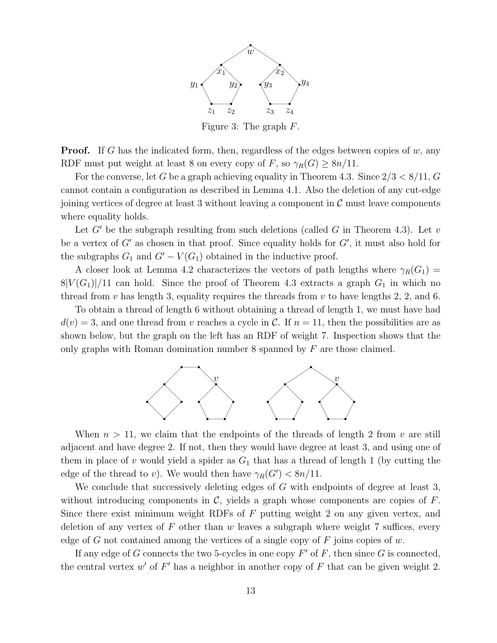

Figure 3: The graph F.

**Proof.** If G has the indicated form, then, regardless of the edges between copies of  $w$ , any RDF must put weight at least 8 on every copy of F, so  $\gamma_R(G) \geq 8n/11$ .

For the converse, let G be a graph achieving equality in Theorem 4.3. Since  $2/3 < 8/11$ , G cannot contain a configuration as described in Lemma 4.1. Also the deletion of any cut-edge joining vertices of degree at least 3 without leaving a component in  $\mathcal C$  must leave components where equality holds.

Let  $G'$  be the subgraph resulting from such deletions (called  $G$  in Theorem 4.3). Let  $v$ be a vertex of  $G'$  as chosen in that proof. Since equality holds for  $G'$ , it must also hold for the subgraphs  $G_1$  and  $G' - V(G_1)$  obtained in the inductive proof.

A closer look at Lemma 4.2 characterizes the vectors of path lengths where  $\gamma_R(G_1)$  =  $8|V(G_1)|/11$  can hold. Since the proof of Theorem 4.3 extracts a graph  $G_1$  in which no thread from  $v$  has length 3, equality requires the threads from  $v$  to have lengths 2, 2, and 6.

To obtain a thread of length 6 without obtaining a thread of length 1, we must have had  $d(v) = 3$ , and one thread from v reaches a cycle in C. If  $n = 11$ , then the possibilities are as shown below, but the graph on the left has an RDF of weight 7. Inspection shows that the only graphs with Roman domination number 8 spanned by  $F$  are those claimed.



When  $n > 11$ , we claim that the endpoints of the threads of length 2 from v are still adjacent and have degree 2. If not, then they would have degree at least 3, and using one of them in place of v would yield a spider as  $G_1$  that has a thread of length 1 (by cutting the edge of the thread to v). We would then have  $\gamma_R(G') < 8n/11$ .

We conclude that successively deleting edges of  $G$  with endpoints of degree at least 3, without introducing components in  $\mathcal{C}$ , yields a graph whose components are copies of  $F$ . Since there exist minimum weight RDFs of  $F$  putting weight 2 on any given vertex, and deletion of any vertex of  $F$  other than  $w$  leaves a subgraph where weight 7 suffices, every edge of G not contained among the vertices of a single copy of F joins copies of w.

If any edge of G connects the two 5-cycles in one copy  $F'$  of F, then since G is connected, the central vertex  $w'$  of  $F'$  has a neighbor in another copy of  $F$  that can be given weight 2.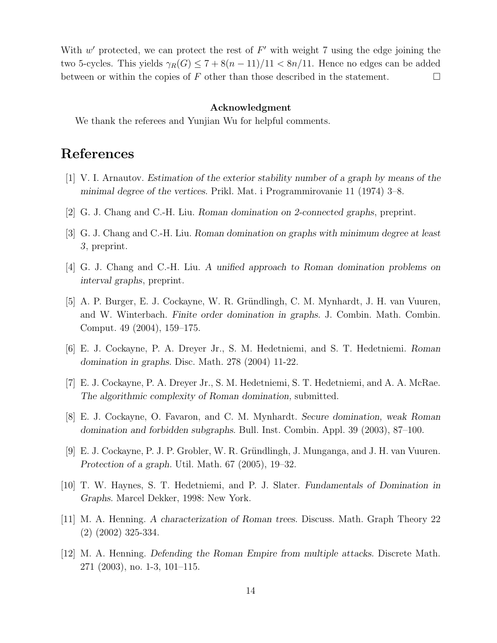With  $w'$  protected, we can protect the rest of  $F'$  with weight 7 using the edge joining the two 5-cycles. This yields  $\gamma_R(G) \leq 7 + 8(n - 11)/11 < 8n/11$ . Hence no edges can be added between or within the copies of  $F$  other than those described in the statement.  $\Box$ 

#### Acknowledgment

We thank the referees and Yunjian Wu for helpful comments.

## References

- [1] V. I. Arnautov. Estimation of the exterior stability number of a graph by means of the minimal degree of the vertices. Prikl. Mat. i Programmirovanie 11 (1974) 3–8.
- [2] G. J. Chang and C.-H. Liu. Roman domination on 2-connected graphs, preprint.
- [3] G. J. Chang and C.-H. Liu. Roman domination on graphs with minimum degree at least 3, preprint.
- [4] G. J. Chang and C.-H. Liu. A unified approach to Roman domination problems on interval graphs, preprint.
- [5] A. P. Burger, E. J. Cockayne, W. R. Gründlingh, C. M. Mynhardt, J. H. van Vuuren, and W. Winterbach. Finite order domination in graphs. J. Combin. Math. Combin. Comput. 49 (2004), 159–175.
- [6] E. J. Cockayne, P. A. Dreyer Jr., S. M. Hedetniemi, and S. T. Hedetniemi. Roman domination in graphs. Disc. Math. 278 (2004) 11-22.
- [7] E. J. Cockayne, P. A. Dreyer Jr., S. M. Hedetniemi, S. T. Hedetniemi, and A. A. McRae. The algorithmic complexity of Roman domination, submitted.
- [8] E. J. Cockayne, O. Favaron, and C. M. Mynhardt. Secure domination, weak Roman domination and forbidden subgraphs. Bull. Inst. Combin. Appl. 39 (2003), 87–100.
- [9] E. J. Cockayne, P. J. P. Grobler, W. R. Gründlingh, J. Munganga, and J. H. van Vuuren. Protection of a graph. Util. Math. 67 (2005), 19–32.
- [10] T. W. Haynes, S. T. Hedetniemi, and P. J. Slater. Fundamentals of Domination in Graphs. Marcel Dekker, 1998: New York.
- [11] M. A. Henning. A characterization of Roman trees. Discuss. Math. Graph Theory 22 (2) (2002) 325-334.
- [12] M. A. Henning. Defending the Roman Empire from multiple attacks. Discrete Math. 271 (2003), no. 1-3, 101–115.